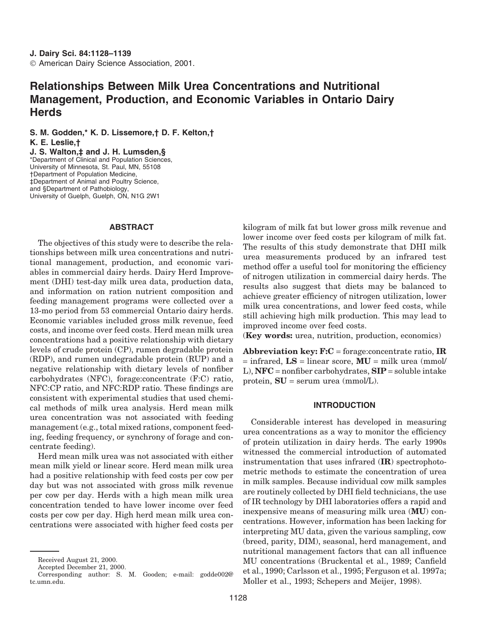# **Relationships Between Milk Urea Concentrations and Nutritional Management, Production, and Economic Variables in Ontario Dairy Herds**

**S. M. Godden,\* K. D. Lissemore,† D. F. Kelton,† K. E. Leslie,† J. S. Walton,‡ and J. H. Lumsden,§**

\*Department of Clinical and Population Sciences, University of Minnesota, St. Paul, MN, 55108 †Department of Population Medicine, ‡Department of Animal and Poultry Science, and §Department of Pathobiology, University of Guelph, Guelph, ON, N1G 2W1

### **ABSTRACT**

The objectives of this study were to describe the relationships between milk urea concentrations and nutritional management, production, and economic variables in commercial dairy herds. Dairy Herd Improvement (DHI) test-day milk urea data, production data, and information on ration nutrient composition and feeding management programs were collected over a 13-mo period from 53 commercial Ontario dairy herds. Economic variables included gross milk revenue, feed costs, and income over feed costs. Herd mean milk urea concentrations had a positive relationship with dietary levels of crude protein (CP), rumen degradable protein (RDP), and rumen undegradable protein (RUP) and a negative relationship with dietary levels of nonfiber carbohydrates (NFC), forage:concentrate (F:C) ratio, NFC:CP ratio, and NFC:RDP ratio. These findings are consistent with experimental studies that used chemical methods of milk urea analysis. Herd mean milk urea concentration was not associated with feeding management (e.g., total mixed rations, component feeding, feeding frequency, or synchrony of forage and concentrate feeding).

Herd mean milk urea was not associated with either mean milk yield or linear score. Herd mean milk urea had a positive relationship with feed costs per cow per day but was not associated with gross milk revenue per cow per day. Herds with a high mean milk urea concentration tended to have lower income over feed costs per cow per day. High herd mean milk urea concentrations were associated with higher feed costs per

kilogram of milk fat but lower gross milk revenue and lower income over feed costs per kilogram of milk fat. The results of this study demonstrate that DHI milk urea measurements produced by an infrared test method offer a useful tool for monitoring the efficiency of nitrogen utilization in commercial dairy herds. The results also suggest that diets may be balanced to achieve greater efficiency of nitrogen utilization, lower milk urea concentrations, and lower feed costs, while still achieving high milk production. This may lead to improved income over feed costs.

(**Key words:** urea, nutrition, production, economics)

**Abbreviation key: F:C** = forage:concentrate ratio, **IR** = infrared, **LS** = linear score, **MU** = milk urea (mmol/ L), **NFC** = nonfiber carbohydrates, **SIP** = soluble intake protein,  $SU =$  serum urea (mmol/L).

#### **INTRODUCTION**

Considerable interest has developed in measuring urea concentrations as a way to monitor the efficiency of protein utilization in dairy herds. The early 1990s witnessed the commercial introduction of automated instrumentation that uses infrared (**IR**) spectrophotometric methods to estimate the concentration of urea in milk samples. Because individual cow milk samples are routinely collected by DHI field technicians, the use of IR technology by DHI laboratories offers a rapid and inexpensive means of measuring milk urea (**MU**) concentrations. However, information has been lacking for interpreting MU data, given the various sampling, cow (breed, parity, DIM), seasonal, herd management, and nutritional management factors that can all influence MU concentrations (Bruckental et al., 1989; Canfield et al., 1990; Carlsson et al., 1995; Ferguson et al. 1997a; Moller et al., 1993; Schepers and Meijer, 1998).

Received August 21, 2000.

Accepted December 21, 2000.

Corresponding author: S. M. Gooden; e-mail: godde002@ tc.umn.edu.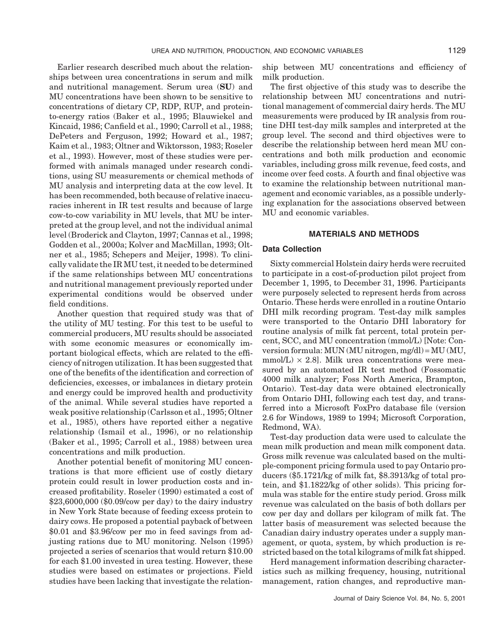Earlier research described much about the relationships between urea concentrations in serum and milk and nutritional management. Serum urea (**SU**) and MU concentrations have been shown to be sensitive to concentrations of dietary CP, RDP, RUP, and proteinto-energy ratios (Baker et al., 1995; Blauwiekel and Kincaid, 1986; Canfield et al., 1990; Carroll et al., 1988; DePeters and Ferguson, 1992; Howard et al., 1987; Kaim et al., 1983; Oltner and Wiktorsson, 1983; Roseler et al., 1993). However, most of these studies were performed with animals managed under research conditions, using SU measurements or chemical methods of MU analysis and interpreting data at the cow level. It has been recommended, both because of relative inaccuracies inherent in IR test results and because of large cow-to-cow variability in MU levels, that MU be interpreted at the group level, and not the individual animal level (Broderick and Clayton, 1997; Cannas et al., 1998; Godden et al., 2000a; Kolver and MacMillan, 1993; Oltner et al., 1985; Schepers and Meijer, 1998). To clinically validate the IR MU test, it needed to be determined if the same relationships between MU concentrations and nutritional management previously reported under experimental conditions would be observed under field conditions.

Another question that required study was that of the utility of MU testing. For this test to be useful to commercial producers, MU results should be associated with some economic measures or economically important biological effects, which are related to the efficiency of nitrogen utilization. It has been suggested that one of the benefits of the identification and correction of deficiencies, excesses, or imbalances in dietary protein and energy could be improved health and productivity of the animal. While several studies have reported a weak positive relationship (Carlsson et al., 1995; Oltner et al., 1985), others have reported either a negative relationship (Ismail et al., 1996), or no relationship (Baker et al., 1995; Carroll et al., 1988) between urea concentrations and milk production.

Another potential benefit of monitoring MU concentrations is that more efficient use of costly dietary protein could result in lower production costs and increased profitability. Roseler (1990) estimated a cost of \$23,6000,000 (\$0.09/cow per day) to the dairy industry in New York State because of feeding excess protein to dairy cows. He proposed a potential payback of between \$0.01 and \$3.96/cow per mo in feed savings from adjusting rations due to MU monitoring. Nelson (1995) projected a series of scenarios that would return \$10.00 for each \$1.00 invested in urea testing. However, these studies were based on estimates or projections. Field studies have been lacking that investigate the relationship between MU concentrations and efficiency of milk production.

The first objective of this study was to describe the relationship between MU concentrations and nutritional management of commercial dairy herds. The MU measurements were produced by IR analysis from routine DHI test-day milk samples and interpreted at the group level. The second and third objectives were to describe the relationship between herd mean MU concentrations and both milk production and economic variables, including gross milk revenue, feed costs, and income over feed costs. A fourth and final objective was to examine the relationship between nutritional management and economic variables, as a possible underlying explanation for the associations observed between MU and economic variables.

#### **MATERIALS AND METHODS**

### **Data Collection**

Sixty commercial Holstein dairy herds were recruited to participate in a cost-of-production pilot project from December 1, 1995, to December 31, 1996. Participants were purposely selected to represent herds from across Ontario. These herds were enrolled in a routine Ontario DHI milk recording program. Test-day milk samples were transported to the Ontario DHI laboratory for routine analysis of milk fat percent, total protein percent, SCC, and MU concentration (mmol/L) [Note: Conversion formula: MUN (MU nitrogen, mg/dl) = MU (MU,  $mmol/L$ )  $\times$  2.8]. Milk urea concentrations were measured by an automated IR test method (Fossomatic 4000 milk analyzer; Foss North America, Brampton, Ontario). Test-day data were obtained electronically from Ontario DHI, following each test day, and transferred into a Microsoft FoxPro database file (version 2.6 for Windows, 1989 to 1994; Microsoft Corporation, Redmond, WA).

Test-day production data were used to calculate the mean milk production and mean milk component data. Gross milk revenue was calculated based on the multiple-component pricing formula used to pay Ontario producers (\$5.1721/kg of milk fat, \$8.3913/kg of total protein, and \$1.1822/kg of other solids). This pricing formula was stable for the entire study period. Gross milk revenue was calculated on the basis of both dollars per cow per day and dollars per kilogram of milk fat. The latter basis of measurement was selected because the Canadian dairy industry operates under a supply management, or quota, system, by which production is restricted based on the total kilograms of milk fat shipped.

Herd management information describing characteristics such as milking frequency, housing, nutritional management, ration changes, and reproductive man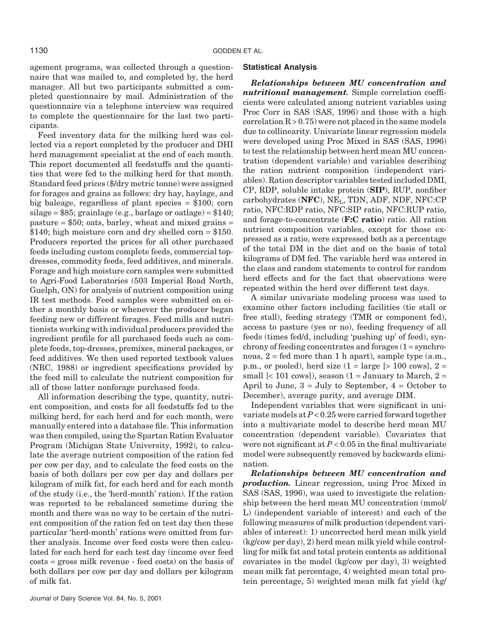agement programs, was collected through a questionnaire that was mailed to, and completed by, the herd manager. All but two participants submitted a completed questionnaire by mail. Administration of the questionnaire via a telephone interview was required to complete the questionnaire for the last two participants.

Feed inventory data for the milking herd was collected via a report completed by the producer and DHI herd management specialist at the end of each month. This report documented all feedstuffs and the quantities that were fed to the milking herd for that month. Standard feed prices (\$/dry metric tonne) were assigned for forages and grains as follows: dry hay, haylage, and big baleage, regardless of plant species = \$100; corn silage =  $$85$ ; grainlage (e.g., barlage or oatlage) =  $$140$ ; pasture  $= $50$ ; oats, barley, wheat and mixed grains  $=$  $$140; high moisture corn and dry shelled corn = $150.$ Producers reported the prices for all other purchased feeds including custom complete feeds, commercial topdresses, commodity feeds, feed additives, and minerals. Forage and high moisture corn samples were submitted to Agri-Food Laboratories (503 Imperial Road North, Guelph, ON) for analysis of nutrient composition using IR test methods. Feed samples were submitted on either a monthly basis or whenever the producer began feeding new or different forages. Feed mills and nutritionists working with individual producers provided the ingredient profile for all purchased feeds such as complete feeds, top-dresses, premixes, mineral packages, or feed additives. We then used reported textbook values (NRC, 1988) or ingredient specifications provided by the feed mill to calculate the nutrient composition for all of these latter nonforage purchased feeds.

All information describing the type, quantity, nutrient composition, and costs for all feedstuffs fed to the milking herd, for each herd and for each month, were manually entered into a database file. This information was then compiled, using the Spartan Ration Evaluator Program (Michigan State University, 1992), to calculate the average nutrient composition of the ration fed per cow per day, and to calculate the feed costs on the basis of both dollars per cow per day and dollars per kilogram of milk fat, for each herd and for each month of the study (i.e., the 'herd-month' ration). If the ration was reported to be rebalanced sometime during the month and there was no way to be certain of the nutrient composition of the ration fed on test day then these particular 'herd-month' rations were omitted from further analysis. Income over feed costs were then calculated for each herd for each test day (income over feed costs = gross milk revenue - feed costs) on the basis of both dollars per cow per day and dollars per kilogram of milk fat.

#### **Statistical Analysis**

*Relationships between MU concentration and nutritional management.* Simple correlation coefficients were calculated among nutrient variables using Proc Corr in SAS (SAS, 1996) and those with a high correlation  $R > 0.75$  were not placed in the same models due to collinearity. Univariate linear regression models were developed using Proc Mixed in SAS (SAS, 1996) to test the relationship between herd mean MU concentration (dependent variable) and variables describing the ration nutrient composition (independent variables). Ration descriptor variables tested included DMI, CP, RDP, soluble intake protein (**SIP**), RUP, nonfiber carbohydrates (NFC), NE<sub>L</sub>, TDN, ADF, NDF, NFC:CP ratio, NFC:RDP ratio, NFC:SIP ratio, NFC:RUP ratio, and forage-to-concentrate (**F:C ratio**) ratio. All ration nutrient composition variables, except for those expressed as a ratio, were expressed both as a percentage of the total DM in the diet and on the basis of total kilograms of DM fed. The variable herd was entered in the class and random statements to control for random herd effects and for the fact that observations were repeated within the herd over different test days.

A similar univariate modeling process was used to examine other factors including facilities (tie stall or free stall), feeding strategy (TMR or component fed), access to pasture (yes or no), feeding frequency of all feeds (times fed/d, including 'pushing up' of feed), synchrony of feeding concentrates and forages  $(1 = s$ ynchronous,  $2 =$  fed more than 1 h apart), sample type  $(a.m.,)$ p.m., or pooled), herd size  $(1 = \text{large } > 100 \text{ cows}]$ ,  $2 =$ small  $\left[$  < 101 cows $\right]$ ), season (1 = January to March, 2 = April to June,  $3 =$  July to September,  $4 =$  October to December), average parity, and average DIM.

Independent variables that were significant in univariate models at *P* < 0.25 were carried forward together into a multivariate model to describe herd mean MU concentration (dependent variable). Covariates that were not significant at  $P < 0.05$  in the final multivariate model were subsequently removed by backwards elimination.

*Relationships between MU concentration and production.* Linear regression, using Proc Mixed in SAS (SAS, 1996), was used to investigate the relationship between the herd mean MU concentration (mmol/ L) (independent variable of interest) and each of the following measures of milk production (dependent variables of interest): 1) uncorrected herd mean milk yield (kg/cow per day), 2) herd mean milk yield while controlling for milk fat and total protein contents as additional covariates in the model (kg/cow per day), 3) weighted mean milk fat percentage, 4) weighted mean total protein percentage, 5) weighted mean milk fat yield (kg/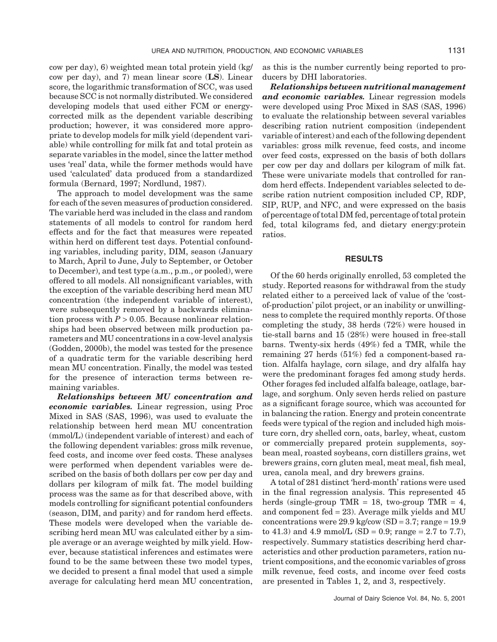cow per day), 6) weighted mean total protein yield (kg/ cow per day), and 7) mean linear score (**LS**). Linear score, the logarithmic transformation of SCC, was used because SCC is not normally distributed. We considered developing models that used either FCM or energycorrected milk as the dependent variable describing production; however, it was considered more appropriate to develop models for milk yield (dependent variable) while controlling for milk fat and total protein as separate variables in the model, since the latter method uses 'real' data, while the former methods would have used 'calculated' data produced from a standardized formula (Bernard, 1997; Nordlund, 1987).

The approach to model development was the same for each of the seven measures of production considered. The variable herd was included in the class and random statements of all models to control for random herd effects and for the fact that measures were repeated within herd on different test days. Potential confounding variables, including parity, DIM, season (January to March, April to June, July to September, or October to December), and test type (a.m., p.m., or pooled), were offered to all models. All nonsignificant variables, with the exception of the variable describing herd mean MU concentration (the independent variable of interest), were subsequently removed by a backwards elimination process with  $P > 0.05$ . Because nonlinear relationships had been observed between milk production parameters and MU concentrations in a cow-level analysis (Godden, 2000b), the model was tested for the presence of a quadratic term for the variable describing herd mean MU concentration. Finally, the model was tested for the presence of interaction terms between remaining variables.

*Relationships between MU concentration and economic variables.* Linear regression, using Proc Mixed in SAS (SAS, 1996), was used to evaluate the relationship between herd mean MU concentration (mmol/L) (independent variable of interest) and each of the following dependent variables: gross milk revenue, feed costs, and income over feed costs. These analyses were performed when dependent variables were described on the basis of both dollars per cow per day and dollars per kilogram of milk fat. The model building process was the same as for that described above, with models controlling for significant potential confounders (season, DIM, and parity) and for random herd effects. These models were developed when the variable describing herd mean MU was calculated either by a simple average or an average weighted by milk yield. However, because statistical inferences and estimates were found to be the same between these two model types, we decided to present a final model that used a simple average for calculating herd mean MU concentration,

as this is the number currently being reported to producers by DHI laboratories.

*Relationships between nutritional management and economic variables.* Linear regression models were developed using Proc Mixed in SAS (SAS, 1996) to evaluate the relationship between several variables describing ration nutrient composition (independent variable of interest) and each of the following dependent variables: gross milk revenue, feed costs, and income over feed costs, expressed on the basis of both dollars per cow per day and dollars per kilogram of milk fat. These were univariate models that controlled for random herd effects. Independent variables selected to describe ration nutrient composition included CP, RDP, SIP, RUP, and NFC, and were expressed on the basis of percentage of total DM fed, percentage of total protein fed, total kilograms fed, and dietary energy:protein ratios.

#### **RESULTS**

Of the 60 herds originally enrolled, 53 completed the study. Reported reasons for withdrawal from the study related either to a perceived lack of value of the 'costof-production' pilot project, or an inability or unwillingness to complete the required monthly reports. Of those completing the study, 38 herds (72%) were housed in tie-stall barns and 15 (28%) were housed in free-stall barns. Twenty-six herds (49%) fed a TMR, while the remaining 27 herds (51%) fed a component-based ration. Alfalfa haylage, corn silage, and dry alfalfa hay were the predominant forages fed among study herds. Other forages fed included alfalfa baleage, oatlage, barlage, and sorghum. Only seven herds relied on pasture as a significant forage source, which was accounted for in balancing the ration. Energy and protein concentrate feeds were typical of the region and included high moisture corn, dry shelled corn, oats, barley, wheat, custom or commercially prepared protein supplements, soybean meal, roasted soybeans, corn distillers grains, wet brewers grains, corn gluten meal, meat meal, fish meal, urea, canola meal, and dry brewers grains.

A total of 281 distinct 'herd-month' rations were used in the final regression analysis. This represented 45 herds (single-group TMR  $= 18$ , two-group TMR  $= 4$ , and component  $fed = 23$ ). Average milk yields and MU concentrations were  $29.9 \text{ kg/cow (SD = } 3.7; \text{range} = 19.9$ to 41.3) and 4.9 mmol/L (SD = 0.9; range = 2.7 to 7.7), respectively. Summary statistics describing herd characteristics and other production parameters, ration nutrient compositions, and the economic variables of gross milk revenue, feed costs, and income over feed costs are presented in Tables 1, 2, and 3, respectively.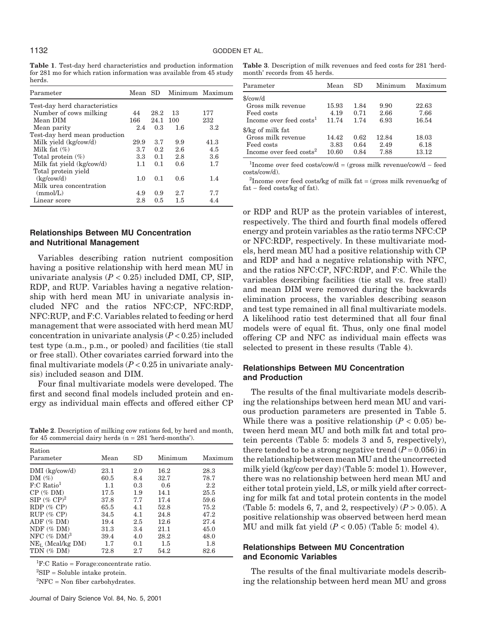**Table 1**. Test-day herd characteristics and production information for 281 mo for which ration information was available from 45 study herds.

| Parameter                     | Mean SD |          |     | Minimum Maximum |
|-------------------------------|---------|----------|-----|-----------------|
| Test-day herd characteristics |         |          |     |                 |
| Number of cows milking        | 44      | 28.2     | 13  | 177             |
| Mean DIM                      | 166     | 24.1 100 |     | 232             |
| Mean parity                   | 2.4     | 0.3      | 1.6 | 3.2             |
| Test-day herd mean production |         |          |     |                 |
| Milk yield (kg/cow/d)         | 29.9    | 3.7      | 9.9 | 41.3            |
| Milk fat $(\%)$               | 3.7     | 0.2      | 2.6 | 4.5             |
| Total protein $(\%)$          | 3.3     | 0.1      | 2.8 | 3.6             |
| Milk fat yield (kg/cow/d)     | 1.1     | 0.1      | 0.6 | 1.7             |
| Total protein yield           |         |          |     |                 |
| (kg/cow/d)                    | 1.0     | 0.1      | 0.6 | 1.4             |
| Milk urea concentration       |         |          |     |                 |
| (mmol/L)                      | 4.9     | 0.9      | 2.7 | 7.7             |
| Linear score                  | 2.8     | 0.5      | 1.5 | 4.4             |

### **Relationships Between MU Concentration and Nutritional Management**

Variables describing ration nutrient composition having a positive relationship with herd mean MU in univariate analysis  $(P < 0.25)$  included DMI, CP, SIP, RDP, and RUP. Variables having a negative relationship with herd mean MU in univariate analysis included NFC and the ratios NFC:CP, NFC:RDP, NFC:RUP, and F:C. Variables related to feeding or herd management that were associated with herd mean MU concentration in univariate analysis (*P* < 0.25) included test type (a.m., p.m., or pooled) and facilities (tie stall or free stall). Other covariates carried forward into the final multivariate models (*P* < 0.25 in univariate analysis) included season and DIM.

Four final multivariate models were developed. The first and second final models included protein and energy as individual main effects and offered either CP

**Table 2**. Description of milking cow rations fed, by herd and month, for 45 commercial dairy herds  $(n = 281$  'herd-months').

| Ration                        |      |           |         |         |
|-------------------------------|------|-----------|---------|---------|
| Parameter                     | Mean | <b>SD</b> | Minimum | Maximum |
| $DMI$ (kg/cow/d)              | 23.1 | 2.0       | 16.2    | 28.3    |
| $DM(\%)$                      | 60.5 | 8.4       | 32.7    | 78.7    |
| $F:C$ Ratio <sup>1</sup>      | 1.1  | 0.3       | 0.6     | $2.2\,$ |
| $CP \ (\% \ DM)$              | 17.5 | 1.9       | 14.1    | 25.5    |
| $SIP$ (% $CP$ ) <sup>2</sup>  | 37.8 | 7.7       | 17.4    | 59.6    |
| $RDP$ (% CP)                  | 65.5 | 4.1       | 52.8    | 75.2    |
| $RUP$ (% CP)                  | 34.5 | 4.1       | 24.8    | 47.2    |
| $\text{ADF}$ (% $\text{DM}$ ) | 19.4 | 2.5       | 12.6    | 27.4    |
| $NDF$ (% DM)                  | 31.3 | 3.4       | 21.1    | 45.0    |
| NFC $(\%$ DM $)^3$            | 39.4 | 4.0       | 28.2    | 48.0    |
| $NEL$ (Meal/kg DM)            | 1.7  | 0.1       | 1.5     | 1.8     |
| TDN $(\%$ DM)                 | 72.8 | 2.7       | 54.2    | 82.6    |

1 F:C Ratio = Forage:concentrate ratio.

2 SIP = Soluble intake protein.

 ${}^{3}$ NFC = Non fiber carbohydrates.

Journal of Dairy Science Vol. 84, No. 5, 2001

**Table 3**. Description of milk revenues and feed costs for 281 'herdmonth' records from 45 herds.

| Parameter                           | Mean  | SD   | Minimum | Maximum |
|-------------------------------------|-------|------|---------|---------|
| \$/cow/d                            |       |      |         |         |
| Gross milk revenue                  | 15.93 | 1.84 | 9.90    | 22.63   |
| Feed costs                          | 4.19  | 0.71 | 2.66    | 7.66    |
| Income over feed costs <sup>1</sup> | 11.74 | 1.74 | 6.93    | 16.54   |
| \$/kg of milk fat                   |       |      |         |         |
| Gross milk revenue                  | 14.42 | 0.62 | 12.84   | 18.03   |
| Feed costs                          | 3.83  | 0.64 | 2.49    | 6.18    |
| Income over feed $\text{costs}^2$   | 10.60 | 0.84 | 7.88    | 13.12   |
|                                     |       |      |         |         |

1 Income over feed costs/cow/d = (gross milk revenue/cow/d − feed costs/cow/d).

<sup>2</sup>Income over feed costs/kg of milk fat = (gross milk revenue/kg of fat − feed costs/kg of fat).

or RDP and RUP as the protein variables of interest, respectively. The third and fourth final models offered energy and protein variables as the ratio terms NFC:CP or NFC:RDP, respectively. In these multivariate models, herd mean MU had a positive relationship with CP and RDP and had a negative relationship with NFC, and the ratios NFC:CP, NFC:RDP, and F:C. While the variables describing facilities (tie stall vs. free stall) and mean DIM were removed during the backwards elimination process, the variables describing season and test type remained in all final multivariate models. A likelihood ratio test determined that all four final models were of equal fit. Thus, only one final model offering CP and NFC as individual main effects was selected to present in these results (Table 4).

# **Relationships Between MU Concentration and Production**

The results of the final multivariate models describing the relationships between herd mean MU and various production parameters are presented in Table 5. While there was a positive relationship  $(P < 0.05)$  between herd mean MU and both milk fat and total protein percents (Table 5: models 3 and 5, respectively), there tended to be a strong negative trend  $(P = 0.056)$  in the relationship between mean MU and the uncorrected milk yield (kg/cow per day) (Table 5: model 1). However, there was no relationship between herd mean MU and either total protein yield, LS, or milk yield after correcting for milk fat and total protein contents in the model (Table 5: models 6, 7, and 2, respectively)  $(P > 0.05)$ . A positive relationship was observed between herd mean MU and milk fat yield  $(P < 0.05)$  (Table 5: model 4).

### **Relationships Between MU Concentration and Economic Variables**

The results of the final multivariate models describing the relationship between herd mean MU and gross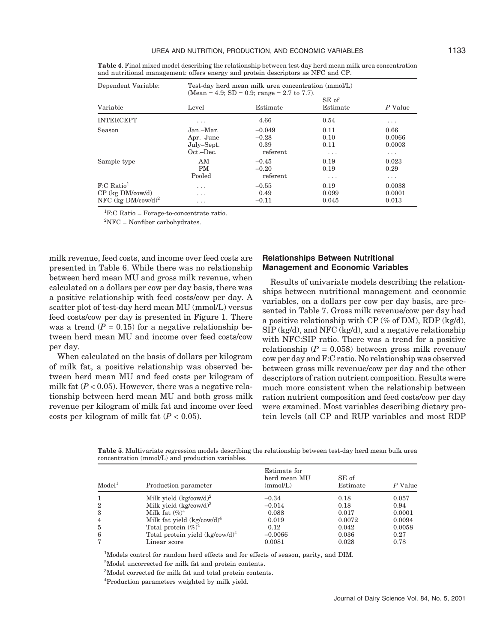| Dependent Variable:      | Test-day herd mean milk urea concentration (mmol/L)<br>(Mean = 4.9; SD = 0.9; range = 2.7 to 7.7). |          |          |          |  |
|--------------------------|----------------------------------------------------------------------------------------------------|----------|----------|----------|--|
| Variable                 | Level                                                                                              | Estimate |          | P Value  |  |
| <b>INTERCEPT</b>         | .                                                                                                  | 4.66     | 0.54     | .        |  |
| Season                   | Jan.-Mar.                                                                                          | $-0.049$ | 0.11     | 0.66     |  |
|                          | Apr.-June                                                                                          | $-0.28$  | 0.10     | 0.0066   |  |
|                          | July-Sept.                                                                                         | 0.39     | 0.11     | 0.0003   |  |
|                          | Oct.-Dec.                                                                                          | referent | $\cdots$ | $\cdots$ |  |
| Sample type              | AM                                                                                                 | $-0.45$  | 0.19     | 0.023    |  |
|                          | <b>PM</b>                                                                                          | $-0.20$  | 0.19     | 0.29     |  |
|                          | Pooled                                                                                             | referent | $\cdot$  | .        |  |
| $F:C$ Ratio <sup>1</sup> | .                                                                                                  | $-0.55$  | 0.19     | 0.0038   |  |
| $CP$ (kg $DM/cow/d$ )    | .                                                                                                  | 0.49     | 0.099    | 0.0001   |  |
| NFC (kg $DM/cow/d)^2$    | $\cdot$ $\cdot$ $\cdot$                                                                            | $-0.11$  | 0.045    | 0.013    |  |

**Table 4**. Final mixed model describing the relationship between test day herd mean milk urea concentration and nutritional management: offers energy and protein descriptors as NFC and CP.

1 F:C Ratio = Forage-to-concentrate ratio.

 ${}^{2}\text{NFC}$  = Nonfiber carbohydrates.

milk revenue, feed costs, and income over feed costs are presented in Table 6. While there was no relationship between herd mean MU and gross milk revenue, when calculated on a dollars per cow per day basis, there was a positive relationship with feed costs/cow per day. A scatter plot of test-day herd mean MU (mmol/L) versus feed costs/cow per day is presented in Figure 1. There was a trend  $(P = 0.15)$  for a negative relationship between herd mean MU and income over feed costs/cow per day.

When calculated on the basis of dollars per kilogram of milk fat, a positive relationship was observed between herd mean MU and feed costs per kilogram of milk fat  $(P < 0.05)$ . However, there was a negative relationship between herd mean MU and both gross milk revenue per kilogram of milk fat and income over feed costs per kilogram of milk fat  $(P < 0.05)$ .

# **Relationships Between Nutritional Management and Economic Variables**

Results of univariate models describing the relationships between nutritional management and economic variables, on a dollars per cow per day basis, are presented in Table 7. Gross milk revenue/cow per day had a positive relationship with CP ( $\%$  of DM), RDP (kg/d), SIP (kg/d), and NFC (kg/d), and a negative relationship with NFC:SIP ratio. There was a trend for a positive relationship  $(P = 0.058)$  between gross milk revenue cow per day and F:C ratio. No relationship was observed between gross milk revenue/cow per day and the other descriptors of ration nutrient composition. Results were much more consistent when the relationship between ration nutrient composition and feed costs/cow per day were examined. Most variables describing dietary protein levels (all CP and RUP variables and most RDP

**Table 5**. Multivariate regression models describing the relationship between test-day herd mean bulk urea concentration (mmol/L) and production variables.

| Model <sup>1</sup> | Production parameter                       | Estimate for<br>herd mean MU<br>(mmol/L) | SE of<br>Estimate | P Value |
|--------------------|--------------------------------------------|------------------------------------------|-------------------|---------|
| 1                  | Milk yield $\frac{kg}{cow/d}$ <sup>2</sup> | $-0.34$                                  | 0.18              | 0.057   |
| $\overline{2}$     | Milk yield $\frac{kg}{cow/d}$ <sup>3</sup> | $-0.014$                                 | 0.18              | 0.94    |
| 3                  | Milk fat $(\%)^4$                          | 0.088                                    | 0.017             | 0.0001  |
| $\overline{4}$     | Milk fat yield $(kg/cow/d)^4$              | 0.019                                    | 0.0072            | 0.0094  |
| 5                  | Total protein $(\%)^4$                     | 0.12                                     | 0.042             | 0.0058  |
| 6                  | Total protein yield $(kg/cow/d)^4$         | $-0.0066$                                | 0.036             | 0.27    |
| 7                  | Linear score                               | 0.0081                                   | 0.028             | 0.78    |

<sup>1</sup>Models control for random herd effects and for effects of season, parity, and DIM.

2 Model uncorrected for milk fat and protein contents.

3 Model corrected for milk fat and total protein contents.

<sup>4</sup> Production parameters weighted by milk yield.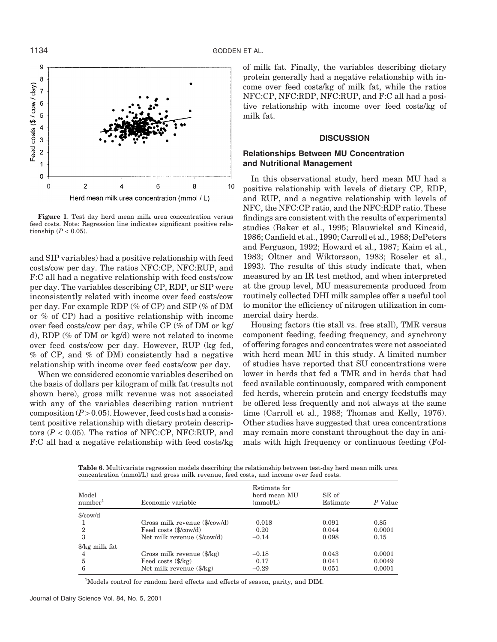

**Figure 1**. Test day herd mean milk urea concentration versus feed costs. Note: Regression line indicates significant positive relationship  $(P < 0.05)$ .

and SIP variables) had a positive relationship with feed costs/cow per day. The ratios NFC:CP, NFC:RUP, and F:C all had a negative relationship with feed costs/cow per day. The variables describing CP, RDP, or SIP were inconsistently related with income over feed costs/cow per day. For example RDP (% of CP) and SIP (% of DM or % of CP) had a positive relationship with income over feed costs/cow per day, while CP (% of DM or kg/ d), RDP (% of DM or kg/d) were not related to income over feed costs/cow per day. However, RUP (kg fed, % of CP, and % of DM) consistently had a negative relationship with income over feed costs/cow per day.

When we considered economic variables described on the basis of dollars per kilogram of milk fat (results not shown here), gross milk revenue was not associated with any of the variables describing ration nutrient composition  $(P > 0.05)$ . However, feed costs had a consistent positive relationship with dietary protein descriptors  $(P < 0.05)$ . The ratios of NFC:CP, NFC:RUP, and F:C all had a negative relationship with feed costs/kg of milk fat. Finally, the variables describing dietary protein generally had a negative relationship with income over feed costs/kg of milk fat, while the ratios NFC:CP, NFC:RDP, NFC:RUP, and F:C all had a positive relationship with income over feed costs/kg of milk fat.

### **DISCUSSION**

# **Relationships Between MU Concentration and Nutritional Management**

In this observational study, herd mean MU had a positive relationship with levels of dietary CP, RDP, and RUP, and a negative relationship with levels of NFC, the NFC:CP ratio, and the NFC:RDP ratio. These findings are consistent with the results of experimental studies (Baker et al., 1995; Blauwiekel and Kincaid, 1986; Canfield et al., 1990; Carroll et al., 1988; DePeters and Ferguson, 1992; Howard et al., 1987; Kaim et al., 1983; Oltner and Wiktorsson, 1983; Roseler et al., 1993). The results of this study indicate that, when measured by an IR test method, and when interpreted at the group level, MU measurements produced from routinely collected DHI milk samples offer a useful tool to monitor the efficiency of nitrogen utilization in commercial dairy herds.

Housing factors (tie stall vs. free stall), TMR versus component feeding, feeding frequency, and synchrony of offering forages and concentrates were not associated with herd mean MU in this study. A limited number of studies have reported that SU concentrations were lower in herds that fed a TMR and in herds that had feed available continuously, compared with component fed herds, wherein protein and energy feedstuffs may be offered less frequently and not always at the same time (Carroll et al., 1988; Thomas and Kelly, 1976). Other studies have suggested that urea concentrations may remain more constant throughout the day in animals with high frequency or continuous feeding (Fol-

| Model<br>number <sup>1</sup> | Economic variable                           | Estimate for<br>herd mean MU<br>(mmol/L) | SE of<br>Estimate | P Value |
|------------------------------|---------------------------------------------|------------------------------------------|-------------------|---------|
| \$/cow/d                     |                                             |                                          |                   |         |
|                              | Gross milk revenue (\$/cow/d)               | 0.018                                    | 0.091             | 0.85    |
| 2                            | Feed costs $(\frac{6}{\text{cow}})$         | 0.20                                     | 0.044             | 0.0001  |
| 3                            | Net milk revenue $(\frac{2}{\cos(\theta)})$ | $-0.14$                                  | 0.098             | 0.15    |
| \$/kg milk fat               |                                             |                                          |                   |         |
| 4                            | Gross milk revenue $(\frac{6}{kg})$         | $-0.18$                                  | 0.043             | 0.0001  |
| 5                            | Feed costs $(\frac{6}{kg})$                 | 0.17                                     | 0.041             | 0.0049  |
| 6                            | Net milk revenue $(\frac{1}{2}k)$           | $-0.29$                                  | 0.051             | 0.0001  |

**Table 6**. Multivariate regression models describing the relationship between test-day herd mean milk urea concentration (mmol/L) and gross milk revenue, feed costs, and income over feed costs.

<sup>1</sup>Models control for random herd effects and effects of season, parity, and DIM.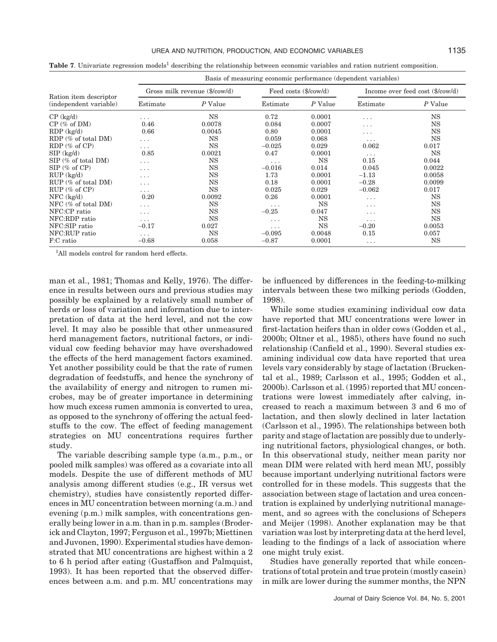**Table 7**. Univariate regression models<sup>1</sup> describing the relationship between economic variables and ration nutrient composition.

|                        | Basis of measuring economic performance (dependent variables) |             |                       |           |                                  |             |
|------------------------|---------------------------------------------------------------|-------------|-----------------------|-----------|----------------------------------|-------------|
| Ration item descriptor | Gross milk revenue (\$/cow/d)                                 |             | Feed costs (\$/cow/d) |           | Income over feed cost (\$/cow/d) |             |
| (independent variable) | Estimate                                                      | $P$ Value   | Estimate              | $P$ Value | Estimate                         | P Value     |
| CP (kg/d)              | .                                                             | <b>NS</b>   | 0.72                  | 0.0001    | .                                | $_{\rm NS}$ |
| $CP$ (% of DM)         | 0.46                                                          | 0.0078      | 0.084                 | 0.0007    | $\cdots$                         | NS          |
| $RDP$ ( $kg/d$ )       | 0.66                                                          | 0.0045      | 0.80                  | 0.0001    | .                                | <b>NS</b>   |
| $RDP$ (% of total DM)  | .                                                             | <b>NS</b>   | 0.059                 | 0.068     | .                                | <b>NS</b>   |
| $RDP$ (% of CP)        | .                                                             | <b>NS</b>   | $-0.025$              | 0.029     | 0.062                            | 0.017       |
| $SIP$ (kg/d)           | 0.85                                                          | 0.0021      | 0.47                  | 0.0001    | .                                | <b>NS</b>   |
| $SIP$ (% of total DM)  | .                                                             | <b>NS</b>   | .                     | <b>NS</b> | 0.15                             | 0.044       |
| $SIP$ (% of CP)        | .                                                             | <b>NS</b>   | $-0.016$              | 0.014     | 0.045                            | 0.0022      |
| $RUP$ (kg/d)           | .                                                             | <b>NS</b>   | 1.73                  | 0.0001    | $-1.13$                          | 0.0058      |
| $RUP$ (% of total DM)  | .                                                             | <b>NS</b>   | 0.18                  | 0.0001    | $-0.28$                          | 0.0099      |
| $RUP$ (% of CP)        | .                                                             | <b>NS</b>   | 0.025                 | 0.029     | $-0.062$                         | 0.017       |
| NFC (kg/d)             | 0.20                                                          | 0.0092      | 0.26                  | 0.0001    | .                                | <b>NS</b>   |
| NFC $(\%$ of total DM) | .                                                             | $_{\rm NS}$ | .                     | <b>NS</b> | .                                | $_{\rm NS}$ |
| NFC:CP ratio           | .                                                             | $_{\rm NS}$ | $-0.25$               | 0.047     | .                                | <b>NS</b>   |
| NFC:RDP ratio          | .                                                             | <b>NS</b>   | .                     | <b>NS</b> | .                                | <b>NS</b>   |
| NFC:SIP ratio          | $-0.17$                                                       | 0.027       | .                     | NS        | $-0.20$                          | 0.0053      |
| NFC:RUP ratio          | .                                                             | $_{\rm NS}$ | $-0.095$              | 0.0048    | 0.15                             | 0.057       |
| F:C ratio              | $-0.68$                                                       | 0.058       | $-0.87$               | 0.0001    | $\cdots$                         | NS          |

1 All models control for random herd effects.

man et al., 1981; Thomas and Kelly, 1976). The difference in results between ours and previous studies may possibly be explained by a relatively small number of herds or loss of variation and information due to interpretation of data at the herd level, and not the cow level. It may also be possible that other unmeasured herd management factors, nutritional factors, or individual cow feeding behavior may have overshadowed the effects of the herd management factors examined. Yet another possibility could be that the rate of rumen degradation of feedstuffs, and hence the synchrony of the availability of energy and nitrogen to rumen microbes, may be of greater importance in determining how much excess rumen ammonia is converted to urea, as opposed to the synchrony of offering the actual feedstuffs to the cow. The effect of feeding management strategies on MU concentrations requires further study.

The variable describing sample type (a.m., p.m., or pooled milk samples) was offered as a covariate into all models. Despite the use of different methods of MU analysis among different studies (e.g., IR versus wet chemistry), studies have consistently reported differences in MU concentration between morning (a.m.) and evening (p.m.) milk samples, with concentrations generally being lower in a.m. than in p.m. samples (Broderick and Clayton, 1997; Ferguson et al., 1997b; Miettinen and Juvonen, 1990). Experimental studies have demonstrated that MU concentrations are highest within a 2 to 6 h period after eating (Gustaffson and Palmquist, 1993). It has been reported that the observed differences between a.m. and p.m. MU concentrations may be influenced by differences in the feeding-to-milking intervals between these two milking periods (Godden, 1998).

While some studies examining individual cow data have reported that MU concentrations were lower in first-lactation heifers than in older cows (Godden et al., 2000b; Oltner et al., 1985), others have found no such relationship (Canfield et al., 1990). Several studies examining individual cow data have reported that urea levels vary considerably by stage of lactation (Bruckental et al., 1989; Carlsson et al., 1995; Godden et al., 2000b). Carlsson et al. (1995) reported that MU concentrations were lowest immediately after calving, increased to reach a maximum between 3 and 6 mo of lactation, and then slowly declined in later lactation (Carlsson et al., 1995). The relationships between both parity and stage of lactation are possibly due to underlying nutritional factors, physiological changes, or both. In this observational study, neither mean parity nor mean DIM were related with herd mean MU, possibly because important underlying nutritional factors were controlled for in these models. This suggests that the association between stage of lactation and urea concentration is explained by underlying nutritional management, and so agrees with the conclusions of Schepers and Meijer (1998). Another explanation may be that variation was lost by interpreting data at the herd level, leading to the findings of a lack of association where one might truly exist.

Studies have generally reported that while concentrations of total protein and true protein (mostly casein) in milk are lower during the summer months, the NPN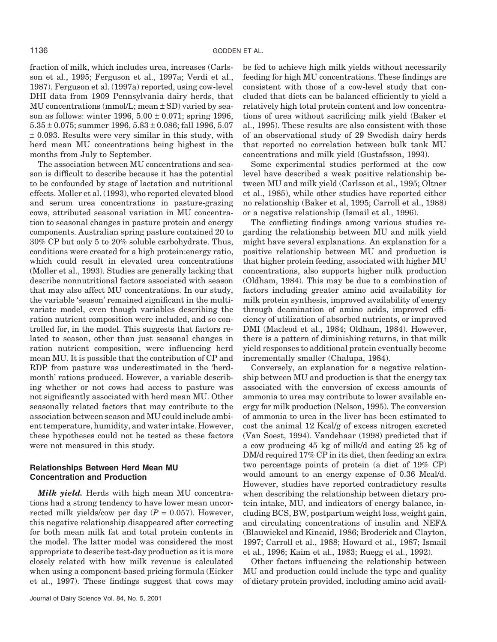fraction of milk, which includes urea, increases (Carlsson et al., 1995; Ferguson et al., 1997a; Verdi et al., 1987). Ferguson et al. (1997a) reported, using cow-level DHI data from 1909 Pennsylvania dairy herds, that MU concentrations (mmol/L; mean ± SD) varied by season as follows: winter  $1996, 5.00 \pm 0.071$ ; spring 1996,  $5.35 \pm 0.075$ ; summer 1996,  $5.83 \pm 0.086$ ; fall 1996,  $5.07$ ± 0.093. Results were very similar in this study, with herd mean MU concentrations being highest in the months from July to September.

The association between MU concentrations and season is difficult to describe because it has the potential to be confounded by stage of lactation and nutritional effects. Moller et al. (1993), who reported elevated blood and serum urea concentrations in pasture-grazing cows, attributed seasonal variation in MU concentration to seasonal changes in pasture protein and energy components. Australian spring pasture contained 20 to 30% CP but only 5 to 20% soluble carbohydrate. Thus, conditions were created for a high protein:energy ratio, which could result in elevated urea concentrations (Moller et al., 1993). Studies are generally lacking that describe nonnutritional factors associated with season that may also affect MU concentrations. In our study, the variable 'season' remained significant in the multivariate model, even though variables describing the ration nutrient composition were included, and so controlled for, in the model. This suggests that factors related to season, other than just seasonal changes in ration nutrient composition, were influencing herd mean MU. It is possible that the contribution of CP and RDP from pasture was underestimated in the 'herdmonth' rations produced. However, a variable describing whether or not cows had access to pasture was not significantly associated with herd mean MU. Other seasonally related factors that may contribute to the association between season and MU could include ambient temperature, humidity, and water intake. However, these hypotheses could not be tested as these factors were not measured in this study.

# **Relationships Between Herd Mean MU Concentration and Production**

*Milk yield.* Herds with high mean MU concentrations had a strong tendency to have lower mean uncorrected milk yields/cow per day  $(P = 0.057)$ . However, this negative relationship disappeared after correcting for both mean milk fat and total protein contents in the model. The latter model was considered the most appropriate to describe test-day production as it is more closely related with how milk revenue is calculated when using a component-based pricing formula (Eicker et al., 1997). These findings suggest that cows may be fed to achieve high milk yields without necessarily feeding for high MU concentrations. These findings are consistent with those of a cow-level study that concluded that diets can be balanced efficiently to yield a relatively high total protein content and low concentrations of urea without sacrificing milk yield (Baker et al., 1995). These results are also consistent with those of an observational study of 29 Swedish dairy herds that reported no correlation between bulk tank MU concentrations and milk yield (Gustafsson, 1993).

Some experimental studies performed at the cow level have described a weak positive relationship between MU and milk yield (Carlsson et al., 1995; Oltner et al., 1985), while other studies have reported either no relationship (Baker et al, 1995; Carroll et al., 1988) or a negative relationship (Ismail et al., 1996).

The conflicting findings among various studies regarding the relationship between MU and milk yield might have several explanations. An explanation for a positive relationship between MU and production is that higher protein feeding, associated with higher MU concentrations, also supports higher milk production (Oldham, 1984). This may be due to a combination of factors including greater amino acid availability for milk protein synthesis, improved availability of energy through deamination of amino acids, improved efficiency of utilization of absorbed nutrients, or improved DMI (Macleod et al., 1984; Oldham, 1984). However, there is a pattern of diminishing returns, in that milk yield responses to additional protein eventually become incrementally smaller (Chalupa, 1984).

Conversely, an explanation for a negative relationship between MU and production is that the energy tax associated with the conversion of excess amounts of ammonia to urea may contribute to lower available energy for milk production (Nelson, 1995). The conversion of ammonia to urea in the liver has been estimated to cost the animal 12 Kcal/g of excess nitrogen excreted (Van Soest, 1994). Vandehaar (1998) predicted that if a cow producing 45 kg of milk/d and eating 25 kg of DM/d required 17% CP in its diet, then feeding an extra two percentage points of protein (a diet of 19% CP) would amount to an energy expense of 0.36 Mcal/d. However, studies have reported contradictory results when describing the relationship between dietary protein intake, MU, and indicators of energy balance, including BCS, BW, postpartum weight loss, weight gain, and circulating concentrations of insulin and NEFA (Blauwiekel and Kincaid, 1986; Broderick and Clayton, 1997; Carroll et al., 1988; Howard et al., 1987; Ismail et al., 1996; Kaim et al., 1983; Ruegg et al., 1992).

Other factors influencing the relationship between MU and production could include the type and quality of dietary protein provided, including amino acid avail-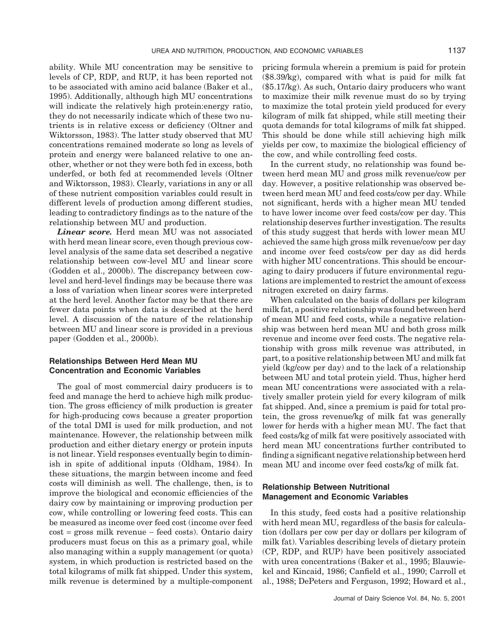ability. While MU concentration may be sensitive to levels of CP, RDP, and RUP, it has been reported not to be associated with amino acid balance (Baker et al., 1995). Additionally, although high MU concentrations will indicate the relatively high protein:energy ratio, they do not necessarily indicate which of these two nutrients is in relative excess or deficiency (Oltner and Wiktorsson, 1983). The latter study observed that MU concentrations remained moderate so long as levels of protein and energy were balanced relative to one another, whether or not they were both fed in excess, both underfed, or both fed at recommended levels (Oltner and Wiktorsson, 1983). Clearly, variations in any or all of these nutrient composition variables could result in different levels of production among different studies, leading to contradictory findings as to the nature of the relationship between MU and production.

*Linear score.* Herd mean MU was not associated with herd mean linear score, even though previous cowlevel analysis of the same data set described a negative relationship between cow-level MU and linear score (Godden et al., 2000b). The discrepancy between cowlevel and herd-level findings may be because there was a loss of variation when linear scores were interpreted at the herd level. Another factor may be that there are fewer data points when data is described at the herd level. A discussion of the nature of the relationship between MU and linear score is provided in a previous paper (Godden et al., 2000b).

#### **Relationships Between Herd Mean MU Concentration and Economic Variables**

The goal of most commercial dairy producers is to feed and manage the herd to achieve high milk production. The gross efficiency of milk production is greater for high-producing cows because a greater proportion of the total DMI is used for milk production, and not maintenance. However, the relationship between milk production and either dietary energy or protein inputs is not linear. Yield responses eventually begin to diminish in spite of additional inputs (Oldham, 1984). In these situations, the margin between income and feed costs will diminish as well. The challenge, then, is to improve the biological and economic efficiencies of the dairy cow by maintaining or improving production per cow, while controlling or lowering feed costs. This can be measured as income over feed cost (income over feed cost = gross milk revenue − feed costs). Ontario dairy producers must focus on this as a primary goal, while also managing within a supply management (or quota) system, in which production is restricted based on the total kilograms of milk fat shipped. Under this system, milk revenue is determined by a multiple-component pricing formula wherein a premium is paid for protein (\$8.39/kg), compared with what is paid for milk fat (\$5.17/kg). As such, Ontario dairy producers who want to maximize their milk revenue must do so by trying to maximize the total protein yield produced for every kilogram of milk fat shipped, while still meeting their quota demands for total kilograms of milk fat shipped. This should be done while still achieving high milk yields per cow, to maximize the biological efficiency of the cow, and while controlling feed costs.

In the current study, no relationship was found between herd mean MU and gross milk revenue/cow per day. However, a positive relationship was observed between herd mean MU and feed costs/cow per day. While not significant, herds with a higher mean MU tended to have lower income over feed costs/cow per day. This relationship deserves further investigation. The results of this study suggest that herds with lower mean MU achieved the same high gross milk revenue/cow per day and income over feed costs/cow per day as did herds with higher MU concentrations. This should be encouraging to dairy producers if future environmental regulations are implemented to restrict the amount of excess nitrogen excreted on dairy farms.

When calculated on the basis of dollars per kilogram milk fat, a positive relationship was found between herd of mean MU and feed costs, while a negative relationship was between herd mean MU and both gross milk revenue and income over feed costs. The negative relationship with gross milk revenue was attributed, in part, to a positive relationship between MU and milk fat yield (kg/cow per day) and to the lack of a relationship between MU and total protein yield. Thus, higher herd mean MU concentrations were associated with a relatively smaller protein yield for every kilogram of milk fat shipped. And, since a premium is paid for total protein, the gross revenue/kg of milk fat was generally lower for herds with a higher mean MU. The fact that feed costs/kg of milk fat were positively associated with herd mean MU concentrations further contributed to finding a significant negative relationship between herd mean MU and income over feed costs/kg of milk fat.

# **Relationship Between Nutritional Management and Economic Variables**

In this study, feed costs had a positive relationship with herd mean MU, regardless of the basis for calculation (dollars per cow per day or dollars per kilogram of milk fat). Variables describing levels of dietary protein (CP, RDP, and RUP) have been positively associated with urea concentrations (Baker et al., 1995; Blauwiekel and Kincaid, 1986; Canfield et al., 1990; Carroll et al., 1988; DePeters and Ferguson, 1992; Howard et al.,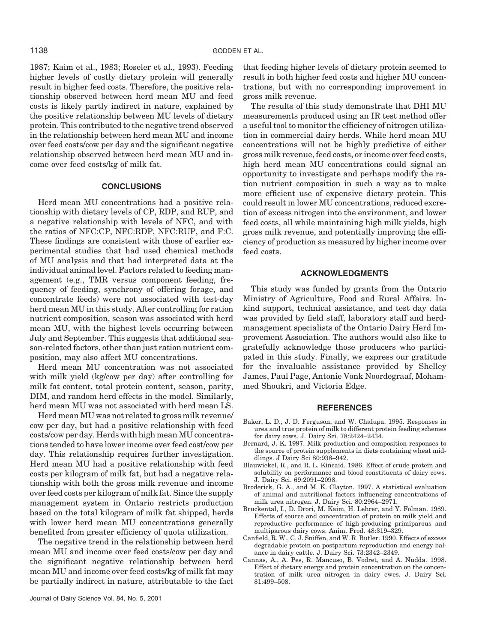1987; Kaim et al., 1983; Roseler et al., 1993). Feeding higher levels of costly dietary protein will generally result in higher feed costs. Therefore, the positive relationship observed between herd mean MU and feed costs is likely partly indirect in nature, explained by the positive relationship between MU levels of dietary protein. This contributed to the negative trend observed in the relationship between herd mean MU and income over feed costs/cow per day and the significant negative relationship observed between herd mean MU and income over feed costs/kg of milk fat.

# **CONCLUSIONS**

Herd mean MU concentrations had a positive relationship with dietary levels of CP, RDP, and RUP, and a negative relationship with levels of NFC, and with the ratios of NFC:CP, NFC:RDP, NFC:RUP, and F:C. These findings are consistent with those of earlier experimental studies that had used chemical methods of MU analysis and that had interpreted data at the individual animal level. Factors related to feeding management (e.g., TMR versus component feeding, frequency of feeding, synchrony of offering forage, and concentrate feeds) were not associated with test-day herd mean MU in this study. After controlling for ration nutrient composition, season was associated with herd mean MU, with the highest levels occurring between July and September. This suggests that additional season-related factors, other than just ration nutrient composition, may also affect MU concentrations.

Herd mean MU concentration was not associated with milk yield (kg/cow per day) after controlling for milk fat content, total protein content, season, parity, DIM, and random herd effects in the model. Similarly, herd mean MU was not associated with herd mean LS.

Herd mean MU was not related to gross milk revenue/ cow per day, but had a positive relationship with feed costs/cow per day. Herds with high mean MU concentrations tended to have lower income over feed cost/cow per day. This relationship requires further investigation. Herd mean MU had a positive relationship with feed costs per kilogram of milk fat, but had a negative relationship with both the gross milk revenue and income over feed costs per kilogram of milk fat. Since the supply management system in Ontario restricts production based on the total kilogram of milk fat shipped, herds with lower herd mean MU concentrations generally benefited from greater efficiency of quota utilization.

The negative trend in the relationship between herd mean MU and income over feed costs/cow per day and the significant negative relationship between herd mean MU and income over feed costs/kg of milk fat may be partially indirect in nature, attributable to the fact that feeding higher levels of dietary protein seemed to result in both higher feed costs and higher MU concentrations, but with no corresponding improvement in gross milk revenue.

The results of this study demonstrate that DHI MU measurements produced using an IR test method offer a useful tool to monitor the efficiency of nitrogen utilization in commercial dairy herds. While herd mean MU concentrations will not be highly predictive of either gross milk revenue, feed costs, or income over feed costs, high herd mean MU concentrations could signal an opportunity to investigate and perhaps modify the ration nutrient composition in such a way as to make more efficient use of expensive dietary protein. This could result in lower MU concentrations, reduced excretion of excess nitrogen into the environment, and lower feed costs, all while maintaining high milk yields, high gross milk revenue, and potentially improving the efficiency of production as measured by higher income over feed costs.

#### **ACKNOWLEDGMENTS**

This study was funded by grants from the Ontario Ministry of Agriculture, Food and Rural Affairs. Inkind support, technical assistance, and test day data was provided by field staff, laboratory staff and herdmanagement specialists of the Ontario Dairy Herd Improvement Association. The authors would also like to gratefully acknowledge those producers who participated in this study. Finally, we express our gratitude for the invaluable assistance provided by Shelley James, Paul Page, Antonie Vonk Noordegraaf, Mohammed Shoukri, and Victoria Edge.

#### **REFERENCES**

- Baker, L. D., J. D. Ferguson, and W. Chalupa. 1995. Responses in urea and true protein of milk to different protein feeding schemes for dairy cows. J. Dairy Sci. 78:2424–2434.
- Bernard, J. K. 1997. Milk production and composition responses to the source of protein supplements in diets containing wheat middlings. J Dairy Sci 80:938–942.
- Blauwiekel, R., and R. L. Kincaid. 1986. Effect of crude protein and solubility on performance and blood constituents of dairy cows. J. Dairy Sci. 69:2091–2098.
- Broderick, G. A., and M. K. Clayton. 1997. A statistical evaluation of animal and nutritional factors influencing concentrations of milk urea nitrogen. J. Dairy Sci. 80:2964–2971.
- Bruckental, I., D. Drori, M. Kaim, H. Lehrer, and Y. Folman. 1989. Effects of source and concentration of protein on milk yield and reproductive performance of high-producing primiparous and multiparous dairy cows. Anim. Prod. 48:319–329.
- Canfield, R. W., C. J. Sniffen, and W. R. Butler. 1990. Effects of excess degradable protein on postpartum reproduction and energy balance in dairy cattle. J. Dairy Sci. 73:2342–2349.
- Cannas, A., A. Pes, R. Mancuso, B. Vodret, and A. Nudda. 1998. Effect of dietary energy and protein concentration on the concentration of milk urea nitrogen in dairy ewes. J. Dairy Sci. 81:499–508.